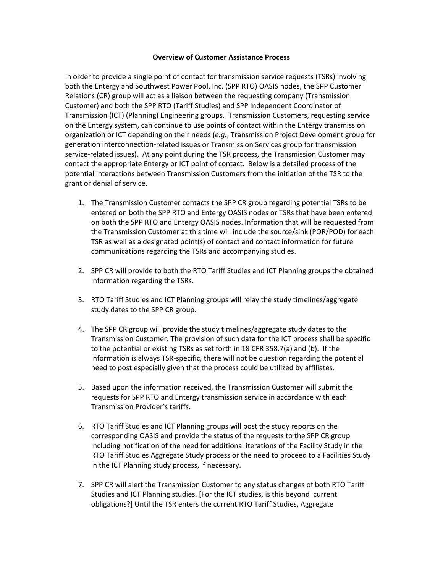## **Overview of Customer Assistance Process**

In order to provide a single point of contact for transmission service requests (TSRs) involving both the Entergy and Southwest Power Pool, Inc. (SPP RTO) OASIS nodes, the SPP Customer Relations (CR) group will act as a liaison between the requesting company (Transmission Customer) and both the SPP RTO (Tariff Studies) and SPP Independent Coordinator of Transmission (ICT) (Planning) Engineering groups. Transmission Customers, requesting service on the Entergy system, can continue to use points of contact within the Entergy transmission organization or ICT depending on their needs (*e.g.*, Transmission Project Development group for generation interconnection‐related issues or Transmission Services group for transmission service-related issues). At any point during the TSR process, the Transmission Customer may contact the appropriate Entergy or ICT point of contact. Below is a detailed process of the potential interactions between Transmission Customers from the initiation of the TSR to the grant or denial of service.

- 1. The Transmission Customer contacts the SPP CR group regarding potential TSRs to be entered on both the SPP RTO and Entergy OASIS nodes or TSRs that have been entered on both the SPP RTO and Entergy OASIS nodes. Information that will be requested from the Transmission Customer at this time will include the source/sink (POR/POD) for each TSR as well as a designated point(s) of contact and contact information for future communications regarding the TSRs and accompanying studies.
- 2. SPP CR will provide to both the RTO Tariff Studies and ICT Planning groups the obtained information regarding the TSRs.
- 3. RTO Tariff Studies and ICT Planning groups will relay the study timelines/aggregate study dates to the SPP CR group.
- 4. The SPP CR group will provide the study timelines/aggregate study dates to the Transmission Customer. The provision of such data for the ICT process shall be specific to the potential or existing TSRs as set forth in 18 CFR 358.7(a) and (b). If the information is always TSR‐specific, there will not be question regarding the potential need to post especially given that the process could be utilized by affiliates.
- 5. Based upon the information received, the Transmission Customer will submit the requests for SPP RTO and Entergy transmission service in accordance with each Transmission Provider's tariffs.
- 6. RTO Tariff Studies and ICT Planning groups will post the study reports on the corresponding OASIS and provide the status of the requests to the SPP CR group including notification of the need for additional iterations of the Facility Study in the RTO Tariff Studies Aggregate Study process or the need to proceed to a Facilities Study in the ICT Planning study process, if necessary.
- 7. SPP CR will alert the Transmission Customer to any status changes of both RTO Tariff Studies and ICT Planning studies. [For the ICT studies, is this beyond current obligations?] Until the TSR enters the current RTO Tariff Studies, Aggregate